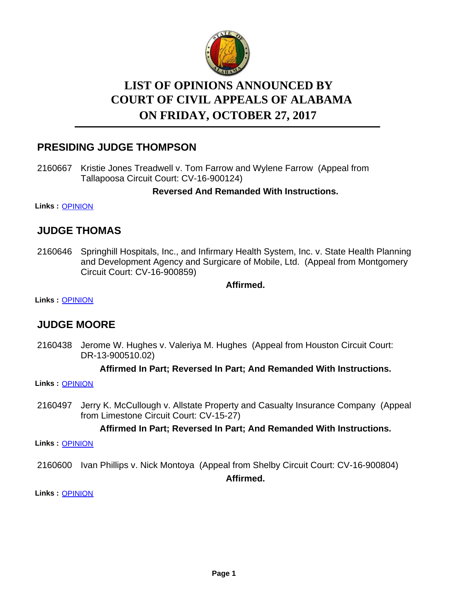

# **LIST OF OPINIONS ANNOUNCED BY ON FRIDAY, OCTOBER 27, 2017 COURT OF CIVIL APPEALS OF ALABAMA**

## **PRESIDING JUDGE THOMPSON**

2160667 Kristie Jones Treadwell v. Tom Farrow and Wylene Farrow (Appeal from Tallapoosa Circuit Court: CV-16-900124)

**Reversed And Remanded With Instructions.**

**Links :** [OPINION](https://acis.alabama.gov/displaydocs.cfm?no=834957&event=51N0L8X2E)

## **JUDGE THOMAS**

2160646 Springhill Hospitals, Inc., and Infirmary Health System, Inc. v. State Health Planning and Development Agency and Surgicare of Mobile, Ltd. (Appeal from Montgomery Circuit Court: CV-16-900859)

**Affirmed.**

**Links :** [OPINION](https://acis.alabama.gov/displaydocs.cfm?no=834956&event=51N0L8WXM)

## **JUDGE MOORE**

2160438 Jerome W. Hughes v. Valeriya M. Hughes (Appeal from Houston Circuit Court: DR-13-900510.02)

#### **Affirmed In Part; Reversed In Part; And Remanded With Instructions.**

**Links :** [OPINION](https://acis.alabama.gov/displaydocs.cfm?no=834952&event=51N0L8WA9)

2160497 Jerry K. McCullough v. Allstate Property and Casualty Insurance Company (Appeal from Limestone Circuit Court: CV-15-27)

#### **Affirmed In Part; Reversed In Part; And Remanded With Instructions.**

**Links :** [OPINION](https://acis.alabama.gov/displaydocs.cfm?no=834953&event=51N0L8WF0)

2160600 Ivan Phillips v. Nick Montoya (Appeal from Shelby Circuit Court: CV-16-900804) **Affirmed.**

**Links :** [OPINION](https://acis.alabama.gov/displaydocs.cfm?no=834954&event=51N0L8WJC)